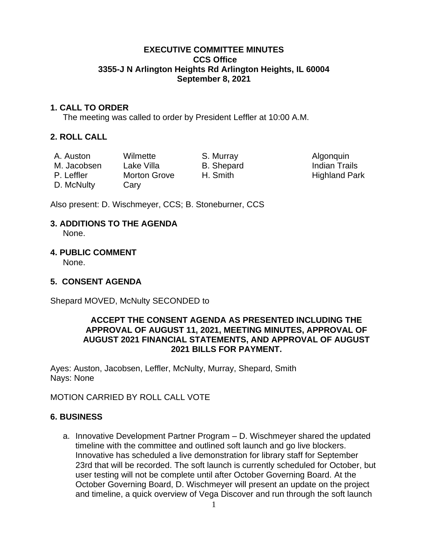#### **EXECUTIVE COMMITTEE MINUTES CCS Office 3355-J N Arlington Heights Rd Arlington Heights, IL 60004 September 8, 2021**

## **1. CALL TO ORDER**

The meeting was called to order by President Leffler at 10:00 A.M.

## **2. ROLL CALL**

D. McNulty Cary

A. Auston Wilmette S. Murray S. Murray Algonquin M. Jacobsen Lake Villa B. Shepard B. Indian Trails

P. Leffler Morton Grove H. Smith Highland Park

Also present: D. Wischmeyer, CCS; B. Stoneburner, CCS

# **3. ADDITIONS TO THE AGENDA**

None.

## **4. PUBLIC COMMENT**

None.

# **5. CONSENT AGENDA**

Shepard MOVED, McNulty SECONDED to

#### **ACCEPT THE CONSENT AGENDA AS PRESENTED INCLUDING THE APPROVAL OF AUGUST 11, 2021, MEETING MINUTES, APPROVAL OF AUGUST 2021 FINANCIAL STATEMENTS, AND APPROVAL OF AUGUST 2021 BILLS FOR PAYMENT.**

Ayes: Auston, Jacobsen, Leffler, McNulty, Murray, Shepard, Smith Nays: None

# MOTION CARRIED BY ROLL CALL VOTE

## **6. BUSINESS**

a. Innovative Development Partner Program – D. Wischmeyer shared the updated timeline with the committee and outlined soft launch and go live blockers. Innovative has scheduled a live demonstration for library staff for September 23rd that will be recorded. The soft launch is currently scheduled for October, but user testing will not be complete until after October Governing Board. At the October Governing Board, D. Wischmeyer will present an update on the project and timeline, a quick overview of Vega Discover and run through the soft launch